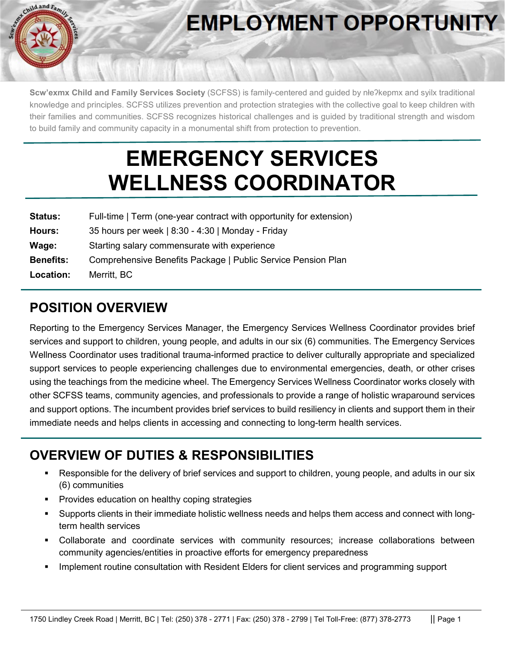

# **EMPLOYMENT OPPORTUNITY**

**Scw'exmx Child and Family Services Society** (SCFSS) is family-centered and guided by nłeʔkepmx and syilx traditional knowledge and principles. SCFSS utilizes prevention and protection strategies with the collective goal to keep children with their families and communities. SCFSS recognizes historical challenges and is guided by traditional strength and wisdom to build family and community capacity in a monumental shift from protection to prevention.

## **EMERGENCY SERVICES WELLNESS COORDINATOR**

| <b>Status:</b>   | Full-time   Term (one-year contract with opportunity for extension) |
|------------------|---------------------------------------------------------------------|
| Hours:           | 35 hours per week   8:30 - 4:30   Monday - Friday                   |
| Wage:            | Starting salary commensurate with experience                        |
| <b>Benefits:</b> | Comprehensive Benefits Package   Public Service Pension Plan        |
| Location:        | Merritt, BC                                                         |

#### **POSITION OVERVIEW**

Reporting to the Emergency Services Manager, the Emergency Services Wellness Coordinator provides brief services and support to children, young people, and adults in our six (6) communities. The Emergency Services Wellness Coordinator uses traditional trauma-informed practice to deliver culturally appropriate and specialized support services to people experiencing challenges due to environmental emergencies, death, or other crises using the teachings from the medicine wheel. The Emergency Services Wellness Coordinator works closely with other SCFSS teams, community agencies, and professionals to provide a range of holistic wraparound services and support options. The incumbent provides brief services to build resiliency in clients and support them in their immediate needs and helps clients in accessing and connecting to long-term health services.

#### **OVERVIEW OF DUTIES & RESPONSIBILITIES**

- Responsible for the delivery of brief services and support to children, young people, and adults in our six (6) communities
- Provides education on healthy coping strategies
- Supports clients in their immediate holistic wellness needs and helps them access and connect with longterm health services
- Collaborate and coordinate services with community resources; increase collaborations between community agencies/entities in proactive efforts for emergency preparedness
- **IMPLEMENT CONSTREET IS A LIME CONSULTATION CONSULTER** Interation with Resident Elders for client services and programming support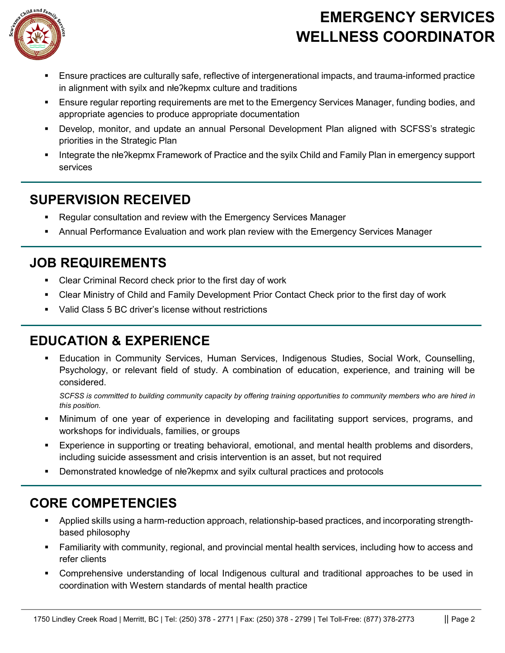

### **EMERGENCY SERVICES WELLNESS COORDINATOR**

- Ensure practices are culturally safe, reflective of intergenerational impacts, and trauma-informed practice in alignment with syilx and nłeʔkepmx culture and traditions
- Ensure regular reporting requirements are met to the Emergency Services Manager, funding bodies, and appropriate agencies to produce appropriate documentation
- Develop, monitor, and update an annual Personal Development Plan aligned with SCFSS's strategic priorities in the Strategic Plan
- Integrate the nłeʔkepmx Framework of Practice and the syilx Child and Family Plan in emergency support services

#### **SUPERVISION RECEIVED**

- Regular consultation and review with the Emergency Services Manager
- Annual Performance Evaluation and work plan review with the Emergency Services Manager

#### **JOB REQUIREMENTS**

- Clear Criminal Record check prior to the first day of work
- Clear Ministry of Child and Family Development Prior Contact Check prior to the first day of work
- Valid Class 5 BC driver's license without restrictions

#### **EDUCATION & EXPERIENCE**

 Education in Community Services, Human Services, Indigenous Studies, Social Work, Counselling, Psychology, or relevant field of study. A combination of education, experience, and training will be considered.

*SCFSS is committed to building community capacity by offering training opportunities to community members who are hired in this position.*

- Minimum of one year of experience in developing and facilitating support services, programs, and workshops for individuals, families, or groups
- Experience in supporting or treating behavioral, emotional, and mental health problems and disorders, including suicide assessment and crisis intervention is an asset, but not required
- Demonstrated knowledge of nłe?kepmx and syilx cultural practices and protocols

#### **CORE COMPETENCIES**

- Applied skills using a harm-reduction approach, relationship-based practices, and incorporating strengthbased philosophy
- Familiarity with community, regional, and provincial mental health services, including how to access and refer clients
- Comprehensive understanding of local Indigenous cultural and traditional approaches to be used in coordination with Western standards of mental health practice